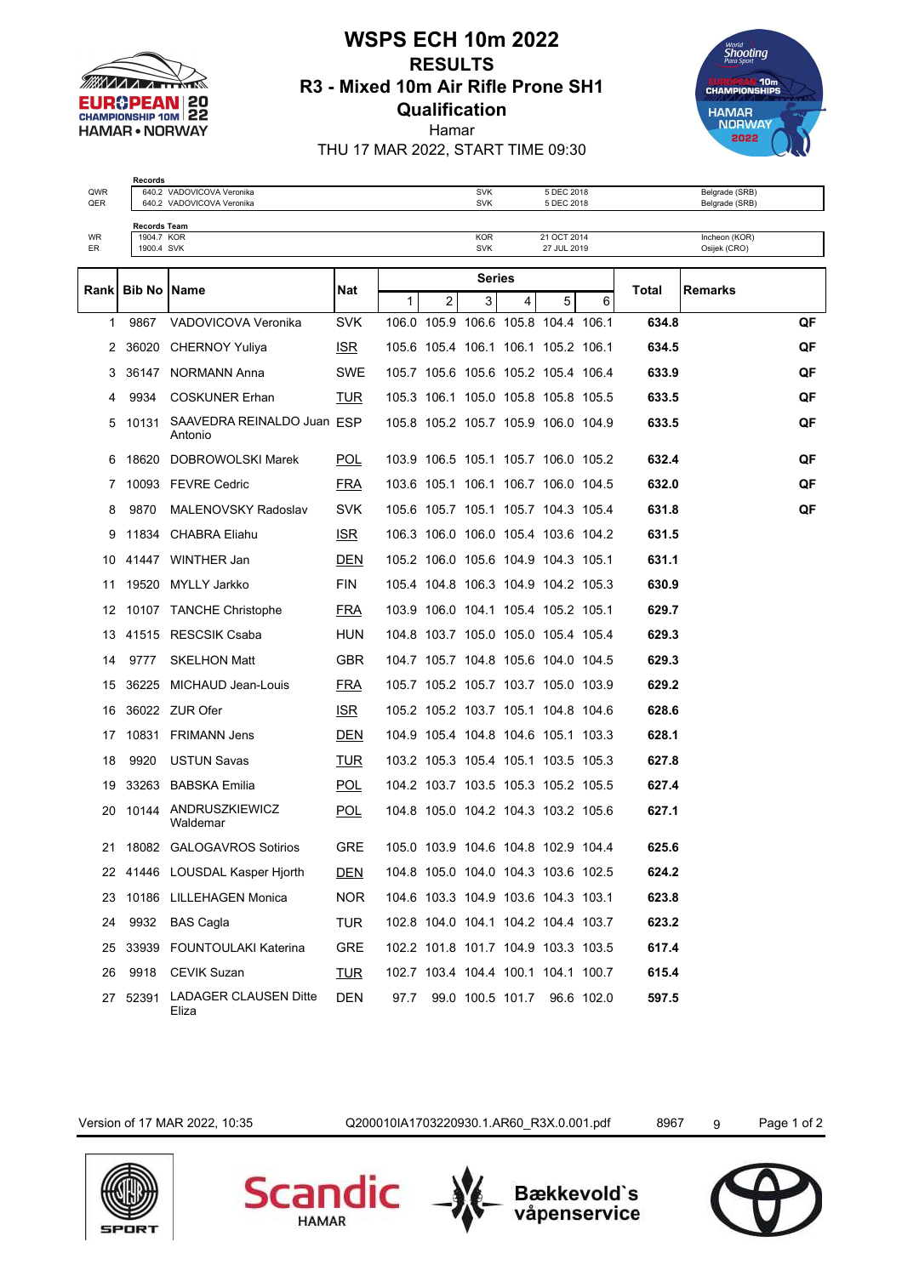

## **WSPS ECH 10m 2022 RESULTS R3 - Mixed 10m Air Rifle Prone SH1 Qualification**



Hamar THU 17 MAR 2022, START TIME 09:30

**Records** QWR 640.2 VADOVICOVA Veronika SVK 5 DEC 2018 Belgrade (SRB)

| QER      |                          | 640.2 VADOVICOVA Veronika               |            |              |                | <b>SVK</b>                          |   | 5 DEC 2018                 |                                     |       | Belgrade (SRB)                |    |
|----------|--------------------------|-----------------------------------------|------------|--------------|----------------|-------------------------------------|---|----------------------------|-------------------------------------|-------|-------------------------------|----|
|          | Records Team             |                                         |            |              |                |                                     |   |                            |                                     |       |                               |    |
| WR<br>ER | 1904.7 KOR<br>1900.4 SVK |                                         |            |              |                | <b>KOR</b><br><b>SVK</b>            |   | 21 OCT 2014<br>27 JUL 2019 |                                     |       | Incheon (KOR)<br>Osijek (CRO) |    |
|          |                          |                                         |            |              |                | <b>Series</b>                       |   |                            |                                     |       |                               |    |
| Rank     | <b>Bib No   Name</b>     |                                         | Nat        | $\mathbf{1}$ | $\overline{2}$ | 3                                   | 4 | 5                          | 6                                   | Total | <b>Remarks</b>                |    |
| 1        | 9867                     | VADOVICOVA Veronika                     | <b>SVK</b> |              |                | 106.0 105.9 106.6 105.8 104.4 106.1 |   |                            |                                     | 634.8 |                               | QF |
| 2        |                          | 36020 CHERNOY Yuliya                    | ISR.       |              |                | 105.6 105.4 106.1 106.1 105.2 106.1 |   |                            |                                     | 634.5 |                               | QF |
| 3        |                          | 36147 NORMANN Anna                      | <b>SWE</b> |              |                | 105.7 105.6 105.6 105.2 105.4 106.4 |   |                            |                                     | 633.9 |                               | QF |
| 4        | 9934                     | <b>COSKUNER Erhan</b>                   | TUR        |              |                | 105.3 106.1 105.0 105.8 105.8 105.5 |   |                            |                                     | 633.5 |                               | QF |
| 5        | 10131                    | SAAVEDRA REINALDO Juan ESP<br>Antonio   |            |              |                | 105.8 105.2 105.7 105.9 106.0 104.9 |   |                            |                                     | 633.5 |                               | QF |
| 6        |                          | 18620 DOBROWOLSKI Marek                 | <b>POL</b> |              |                | 103.9 106.5 105.1 105.7 106.0 105.2 |   |                            |                                     | 632.4 |                               | QF |
| 7        |                          | 10093 FEVRE Cedric                      | <u>FRA</u> |              |                | 103.6 105.1 106.1 106.7 106.0 104.5 |   |                            |                                     | 632.0 |                               | QF |
| 8        | 9870                     | MALENOVSKY Radoslav                     | <b>SVK</b> |              |                | 105.6 105.7 105.1 105.7 104.3 105.4 |   |                            |                                     | 631.8 |                               | QF |
| 9        |                          | 11834 CHABRA Eliahu                     | <b>ISR</b> |              |                | 106.3 106.0 106.0 105.4 103.6 104.2 |   |                            |                                     | 631.5 |                               |    |
| 10       |                          | 41447 WINTHER Jan                       | DEN        |              |                | 105.2 106.0 105.6 104.9 104.3 105.1 |   |                            |                                     | 631.1 |                               |    |
| 11       |                          | 19520 MYLLY Jarkko                      | <b>FIN</b> |              |                | 105.4 104.8 106.3 104.9 104.2 105.3 |   |                            |                                     | 630.9 |                               |    |
| 12       |                          | 10107 TANCHE Christophe                 | <u>FRA</u> |              |                | 103.9 106.0 104.1 105.4 105.2 105.1 |   |                            |                                     | 629.7 |                               |    |
| 13       |                          | 41515 RESCSIK Csaba                     | <b>HUN</b> |              |                | 104.8 103.7 105.0 105.0 105.4 105.4 |   |                            |                                     | 629.3 |                               |    |
| 14       | 9777                     | <b>SKELHON Matt</b>                     | <b>GBR</b> |              |                | 104.7 105.7 104.8 105.6 104.0 104.5 |   |                            |                                     | 629.3 |                               |    |
| 15       |                          | 36225 MICHAUD Jean-Louis                | <b>FRA</b> |              |                | 105.7 105.2 105.7 103.7 105.0 103.9 |   |                            |                                     | 629.2 |                               |    |
| 16       |                          | 36022 ZUR Ofer                          | ISR.       |              |                | 105.2 105.2 103.7 105.1 104.8 104.6 |   |                            |                                     | 628.6 |                               |    |
| 17       |                          | 10831 FRIMANN Jens                      | <u>DEN</u> |              |                | 104.9 105.4 104.8 104.6 105.1 103.3 |   |                            |                                     | 628.1 |                               |    |
| 18       | 9920                     | <b>USTUN Savas</b>                      | <b>TUR</b> |              |                | 103.2 105.3 105.4 105.1 103.5 105.3 |   |                            |                                     | 627.8 |                               |    |
| 19       |                          | 33263 BABSKA Emilia                     | <b>POL</b> |              |                | 104.2 103.7 103.5 105.3 105.2 105.5 |   |                            |                                     | 627.4 |                               |    |
| 20       | 10144                    | ANDRUSZKIEWICZ<br>Waldemar              | <b>POL</b> |              |                | 104.8 105.0 104.2 104.3 103.2 105.6 |   |                            |                                     | 627.1 |                               |    |
| 21       |                          | 18082 GALOGAVROS Sotirios               | <b>GRE</b> |              |                | 105.0 103.9 104.6 104.8 102.9 104.4 |   |                            |                                     | 625.6 |                               |    |
|          |                          | 22 41446 LOUSDAL Kasper Hjorth          | DEN        |              |                | 104.8 105.0 104.0 104.3 103.6 102.5 |   |                            |                                     | 624.2 |                               |    |
|          |                          | 23 10186 LILLEHAGEN Monica              | NOR.       |              |                | 104.6 103.3 104.9 103.6 104.3 103.1 |   |                            |                                     | 623.8 |                               |    |
|          |                          | 24 9932 BAS Cagla                       | <b>TUR</b> |              |                |                                     |   |                            | 102.8 104.0 104.1 104.2 104.4 103.7 | 623.2 |                               |    |
|          |                          | 25 33939 FOUNTOULAKI Katerina           | GRE        |              |                |                                     |   |                            | 102.2 101.8 101.7 104.9 103.3 103.5 | 617.4 |                               |    |
| 26       |                          | 9918 CEVIK Suzan                        | <u>TUR</u> |              |                |                                     |   |                            | 102.7 103.4 104.4 100.1 104.1 100.7 | 615.4 |                               |    |
|          |                          | 27 52391 LADAGER CLAUSEN Ditte<br>Eliza | DEN        |              |                |                                     |   |                            | 97.7 99.0 100.5 101.7 96.6 102.0    | 597.5 |                               |    |

Version of 17 MAR 2022, 10:35 Q200010IA1703220930.1.AR60\_R3X.0.001.pdf 8967 9 Page 1 of 2